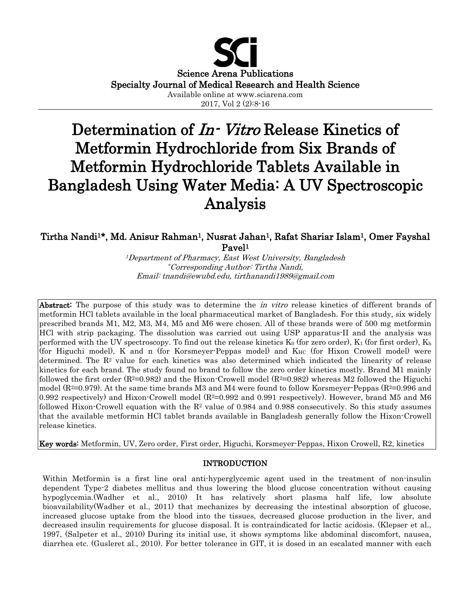

2017, Vol 2 (2):8-16

# Determination of *In-Vitro* Release Kinetics of Metformin Hydrochloride from Six Brands of Metformin Hydrochloride Tablets Available in Bangladesh Using Water Media: A UV Spectroscopic Analysis

# Tirtha Nandi<sup>1\*</sup>, Md. Anisur Rahman<sup>1</sup>, Nusrat Jahan<sup>1</sup>, Rafat Shariar Islam<sup>1</sup>, Omer Fayshal Pavel1

1Department of Pharmacy, East West University, Bangladesh \*Corresponding Author: Tirtha Nandi, Email: tnandi@ewubd.edu, tirthanandi1989@gmail.com

Abstract: The purpose of this study was to determine the *in vitro* release kinetics of different brands of metformin HCl tablets available in the local pharmaceutical market of Bangladesh. For this study, six widely prescribed brands M1, M2, M3, M4, M5 and M6 were chosen. All of these brands were of 500 mg metformin HCl with strip packaging. The dissolution was carried out using USP apparatus-II and the analysis was performed with the UV spectroscopy. To find out the release kinetics  $K_0$  (for zero order),  $K_1$  (for first order),  $K_h$ (for Higuchi model), K and n (for Korsmeyer-Peppas model) and K<sub>HC</sub> (for Hixon Crowell model) were determined. The  $\mathbb{R}^2$  value for each kinetics was also determined which indicated the linearity of release kinetics for each brand. The study found no brand to follow the zero order kinetics mostly. Brand M1 mainly followed the first order  $(R^2=0.982)$  and the Hixon-Crowell model  $(R^2=0.982)$  whereas M2 followed the Higuchi model ( $R^2=0.979$ ). At the same time brands M3 and M4 were found to follow Korsmeyer-Peppas ( $R^2=0.996$  and 0.992 respectively) and Hixon-Crowell model  $(R^2=0.992$  and 0.991 respectively). However, brand M5 and M6 followed Hixon-Crowell equation with the  $R<sup>2</sup>$  value of 0.984 and 0.988 consecutively. So this study assumes that the available metformin HCl tablet brands available in Bangladesh generally follow the Hixon-Crowell release kinetics.

Key words: Metformin, UV, Zero order, First order, Higuchi, Korsmeyer-Peppas, Hixon Crowell, R2, kinetics

# INTRODUCTION

Within Metformin is a first line oral anti-hyperglycemic agent used in the treatment of non-insulin dependent Type-2 diabetes mellitus and thus lowering the blood glucose concentration without causing hypoglycemia.(Wadher et al., 2010) It has relatively short plasma half life, low absolute bioavailability(Wadher et al., 2011) that mechanizes by decreasing the intestinal absorption of glucose, increased glucose uptake from the blood into the tissues, decreased glucose production in the liver, and decreased insulin requirements for glucose disposal. It is contraindicated for lactic acidosis. (Klepser et al., 1997, (Salpeter et al., 2010) During its initial use, it shows symptoms like abdominal discomfort, nausea, diarrhea etc. (Gusleret al., 2010). For better tolerance in GIT, it is dosed in an escalated manner with each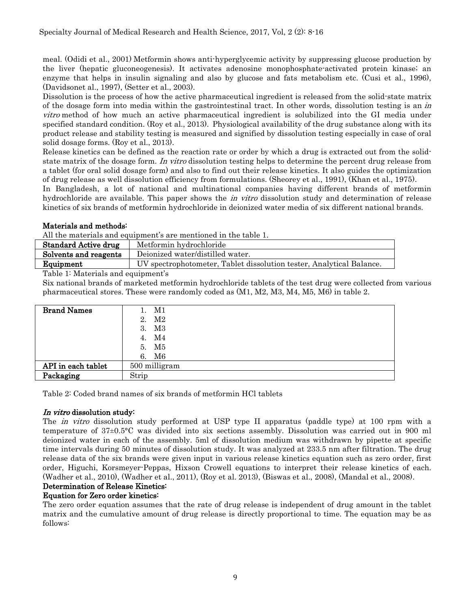meal. (Odidi et al., 2001) Metformin shows anti-hyperglycemic activity by suppressing glucose production by the liver (hepatic gluconeogenesis). It activates adenosine monophosphate-activated protein kinase; an enzyme that helps in insulin signaling and also by glucose and fats metabolism etc. (Cusi et al., 1996), (Davidsonet al., 1997), (Setter et al., 2003).

Dissolution is the process of how the active pharmaceutical ingredient is released from the solid-state matrix of the dosage form into media within the gastrointestinal tract. In other words, dissolution testing is an in vitro method of how much an active pharmaceutical ingredient is solubilized into the GI media under specified standard condition. (Roy et al., 2013). Physiological availability of the drug substance along with its product release and stability testing is measured and signified by dissolution testing especially in case of oral solid dosage forms. (Roy et al., 2013).

Release kinetics can be defined as the reaction rate or order by which a drug is extracted out from the solidstate matrix of the dosage form. In vitro dissolution testing helps to determine the percent drug release from a tablet (for oral solid dosage form) and also to find out their release kinetics. It also guides the optimization of drug release as well dissolution efficiency from formulations. (Sheorey et al., 1991), (Khan et al., 1975).

In Bangladesh, a lot of national and multinational companies having different brands of metformin hydrochloride are available. This paper shows the *in vitro* dissolution study and determination of release kinetics of six brands of metformin hydrochloride in deionized water media of six different national brands.

# Materials and methods:

All the materials and equipment's are mentioned in the table 1.

| <b>Standard Active drug</b> | Metformin hydrochloride                                              |  |  |  |
|-----------------------------|----------------------------------------------------------------------|--|--|--|
| Solvents and reagents       | Deionized water/distilled water.                                     |  |  |  |
| Equipment                   | UV spectrophotometer, Tablet dissolution tester, Analytical Balance. |  |  |  |
| — <u>11. a</u>              |                                                                      |  |  |  |

Table 1: Materials and equipment's

Six national brands of marketed metformin hydrochloride tablets of the test drug were collected from various pharmaceutical stores. These were randomly coded as (M1, M2, M3, M4, M5, M6) in table 2.

| <b>Brand Names</b> | M1            |
|--------------------|---------------|
|                    | M2<br>2.      |
|                    | 3. M3         |
|                    | M4<br>4.      |
|                    | 5. M5         |
|                    | M6<br>6.      |
| API in each tablet | 500 milligram |
| Packaging          | Strip         |

Table 2: Coded brand names of six brands of metformin HCl tablets

# In vitro dissolution study:

The *in vitro* dissolution study performed at USP type II apparatus (paddle type) at 100 rpm with a temperature of 37±0.5°C was divided into six sections assembly. Dissolution was carried out in 900 ml deionized water in each of the assembly. 5ml of dissolution medium was withdrawn by pipette at specific time intervals during 50 minutes of dissolution study. It was analyzed at 233.5 nm after filtration. The drug release data of the six brands were given input in various release kinetics equation such as zero order, first order, Higuchi, Korsmeyer-Peppas, Hixson Crowell equations to interpret their release kinetics of each. (Wadher et al., 2010), (Wadher et al., 2011), (Roy et al. 2013), (Biswas et al., 2008), (Mandal et al., 2008).

# Determination of Release Kinetics:

# Equation for Zero order kinetics:

The zero order equation assumes that the rate of drug release is independent of drug amount in the tablet matrix and the cumulative amount of drug release is directly proportional to time. The equation may be as follows: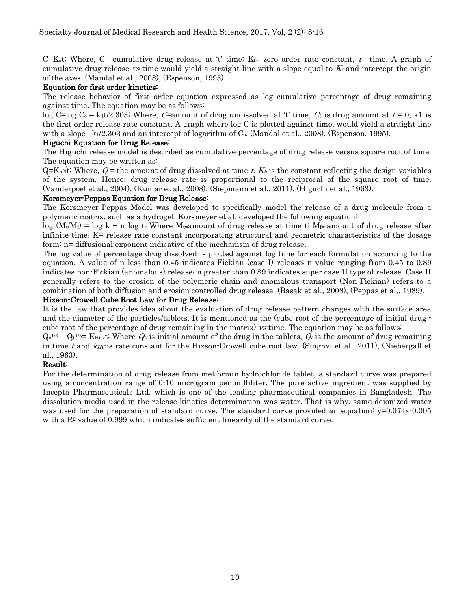C=K<sub>ot</sub>; Where, C= cumulative drug release at 't' time; K<sub>0=</sub> zero order rate constant, t =time. A graph of cumulative drug release vs time would yield a straight line with a slope equal to  $K_0$  and intercept the origin of the axes. (Mandal et al., 2008), (Espenson, 1995).

#### Equation for first order kinetics:

The release behavior of first order equation expressed as log cumulative percentage of drug remaining against time. The equation may be as follows:

log C=log C<sub>0</sub> – k<sub>1</sub>t/2.303; Where, C=amount of drug undissolved at 't' time,  $C_0$  is drug amount at  $t = 0$ , k1 is the first order release rate constant. A graph where log C is plotted against time, would yield a straight line with a slope  $-k_1/2.303$  and an intercept of logarithm of C<sub>0</sub>. (Mandal et al., 2008), (Espenson, 1995).

#### Higuchi Equation for Drug Release:

The Higuchi release model is described as cumulative percentage of drug release versus square root of time. The equation may be written as:

 $Q=K_h\sqrt{t}$ ; Where,  $Q=$  the amount of drug dissolved at time t.  $K_h$  is the constant reflecting the design variables of the system. Hence, drug release rate is proportional to the reciprocal of the square root of time. (Vanderpoel et al., 2004), (Kumar et al., 2008), (Siepmann et al., 2011), (Higuchi et al., 1963).

#### Korsmeyer-Peppas Equation for Drug Release:

The Korsmeyer-Peppas Model was developed to specifically model the release of a drug molecule from a polymeric matrix, such as a hydrogel. Korsmeyer et al. developed the following equation:

 $\log (M_t/M_f) = \log k + n \log t$ ; Where  $M_t$ =amount of drug release at time t;  $M_f$ = amount of drug release after infinite time; K= release rate constant incorporating structural and geometric characteristics of the dosage form; n= diffusional exponent indicative of the mechanism of drug release.

The log value of percentage drug dissolved is plotted against log time for each formulation according to the equation. A value of n less than 0.45 indicates Fickian (case I) release; n value ranging from 0.45 to 0.89 indicates non-Fickian (anomalous) release; n greater than 0.89 indicates super case II type of release. Case II generally refers to the erosion of the polymeric chain and anomalous transport (Non-Fickian) refers to a combination of both diffusion and erosion controlled drug release. (Basak et al., 2008), (Peppas et al., 1989).

#### Hixson-Crowell Cube Root Law for Drug Release:

It is the law that provides idea about the evaluation of drug release pattern changes with the surface area and the diameter of the particles/tablets. It is mentioned as the (cube root of the percentage of initial drug cube root of the percentage of drug remaining in the matrix) vs time. The equation may be as follows:

 $Q_0^{1/3} - Q_t^{1/3} =$  KHc.t; Where  $Q_0$  is initial amount of the drug in the tablets,  $Q_t$  is the amount of drug remaining in time t and  $k_H$ c is rate constant for the Hixson-Crowell cube root law. (Singhvi et al., 2011), (Niebergall et al., 1963).

# Result:

For the determination of drug release from metformin hydrochloride tablet, a standard curve was prepared using a concentration range of 0-10 microgram per milliliter. The pure active ingredient was supplied by Incepta Pharmaceuticals Ltd. which is one of the leading pharmaceutical companies in Bangladesh. The dissolution media used in the release kinetics determination was water. That is why, same deionized water was used for the preparation of standard curve. The standard curve provided an equation:  $y=0.074x-0.005$ with a  $R<sup>2</sup>$  value of 0.999 which indicates sufficient linearity of the standard curve.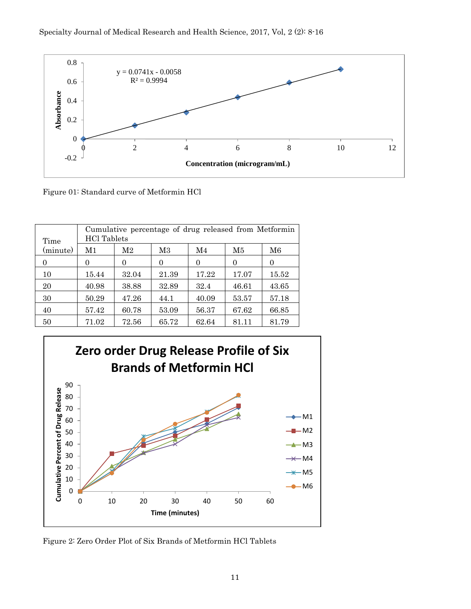

Figure 01: Standard curve of Metformin HCl

| Time     | Cumulative percentage of drug released from Metformin<br><b>HCl</b> Tablets |       |          |       |       |       |  |
|----------|-----------------------------------------------------------------------------|-------|----------|-------|-------|-------|--|
| (minute) | M1                                                                          | M2    | M3       | M4    | M5    | M6    |  |
| 0        | $\theta$                                                                    | 0     | $\Omega$ | 0     | 0     | 0     |  |
| 10       | 15.44                                                                       | 32.04 | 21.39    | 17.22 | 17.07 | 15.52 |  |
| 20       | 40.98                                                                       | 38.88 | 32.89    | 32.4  | 46.61 | 43.65 |  |
| 30       | 50.29                                                                       | 47.26 | 44.1     | 40.09 | 53.57 | 57.18 |  |
| 40       | 57.42                                                                       | 60.78 | 53.09    | 56.37 | 67.62 | 66.85 |  |
| 50       | 71.02                                                                       | 72.56 | 65.72    | 62.64 | 81.11 | 81.79 |  |



Figure 2: Zero Order Plot of Six Brands of Metformin HCl Tablets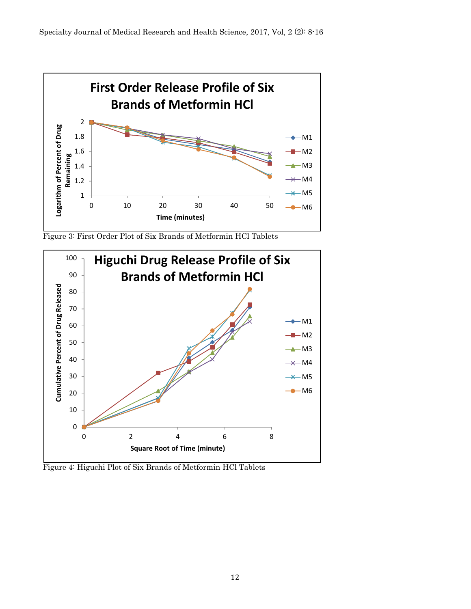

Figure 3: First Order Plot of Six Brands of Metformin HCl Tablets



Figure 4: Higuchi Plot of Six Brands of Metformin HCl Tablets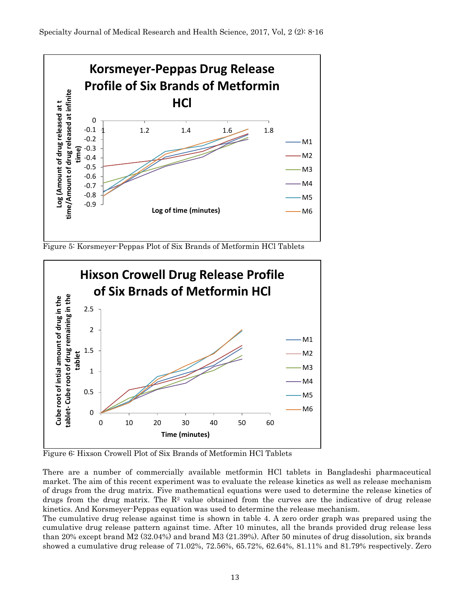

Figure 5: Korsmeyer-Peppas Plot of Six Brands of Metformin HCl Tablets



Figure 6: Hixson Crowell Plot of Six Brands of Metformin HCl Tablets

There are a number of commercially available metformin HCl tablets in Bangladeshi pharmaceutical market. The aim of this recent experiment was to evaluate the release kinetics as well as release mechanism of drugs from the drug matrix. Five mathematical equations were used to determine the release kinetics of drugs from the drug matrix. The  $R<sup>2</sup>$  value obtained from the curves are the indicative of drug release kinetics. And Korsmeyer-Peppas equation was used to determine the release mechanism.

The cumulative drug release against time is shown in table 4. A zero order graph was prepared using the cumulative drug release pattern against time. After 10 minutes, all the brands provided drug release less than 20% except brand M2 (32.04%) and brand M3 (21.39%). After 50 minutes of drug dissolution, six brands showed a cumulative drug release of 71.02%, 72.56%, 65.72%, 62.64%, 81.11% and 81.79% respectively. Zero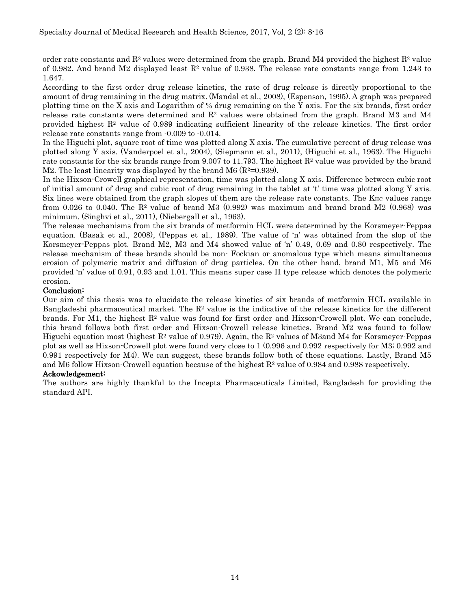order rate constants and  $\mathbb{R}^2$  values were determined from the graph. Brand M4 provided the highest  $\mathbb{R}^2$  value of 0.982. And brand M2 displayed least  $\mathbb{R}^2$  value of 0.938. The release rate constants range from 1.243 to 1.647.

According to the first order drug release kinetics, the rate of drug release is directly proportional to the amount of drug remaining in the drug matrix. (Mandal et al., 2008), (Espenson, 1995). A graph was prepared plotting time on the X axis and Logarithm of % drug remaining on the Y axis. For the six brands, first order release rate constants were determined and  $\mathbb{R}^2$  values were obtained from the graph. Brand M3 and M4 provided highest  $R<sup>2</sup>$  value of 0.989 indicating sufficient linearity of the release kinetics. The first order release rate constants range from -0.009 to -0.014.

In the Higuchi plot, square root of time was plotted along X axis. The cumulative percent of drug release was plotted along Y axis. (Vanderpoel et al., 2004), (Siepmann et al., 2011), (Higuchi et al., 1963). The Higuchi rate constants for the six brands range from 9.007 to 11.793. The highest  $\mathbb{R}^2$  value was provided by the brand M2. The least linearity was displayed by the brand M6  $(R^2=0.939)$ .

In the Hixson-Crowell graphical representation, time was plotted along X axis. Difference between cubic root of initial amount of drug and cubic root of drug remaining in the tablet at 't' time was plotted along Y axis. Six lines were obtained from the graph slopes of them are the release rate constants. The  $K_{HC}$  values range from 0.026 to 0.040. The  $\mathbb{R}^2$  value of brand M3 (0.992) was maximum and brand brand M2 (0.968) was minimum. (Singhvi et al., 2011), (Niebergall et al., 1963).

The release mechanisms from the six brands of metformin HCL were determined by the Korsmeyer-Peppas equation. (Basak et al., 2008), (Peppas et al., 1989). The value of 'n' was obtained from the slop of the Korsmeyer-Peppas plot. Brand M2, M3 and M4 showed value of 'n' 0.49, 0.69 and 0.80 respectively. The release mechanism of these brands should be non- Fockian or anomalous type which means simultaneous erosion of polymeric matrix and diffusion of drug particles. On the other hand, brand M1, M5 and M6 provided 'n' value of 0.91, 0.93 and 1.01. This means super case II type release which denotes the polymeric erosion.

#### Conclusion:

Our aim of this thesis was to elucidate the release kinetics of six brands of metformin HCL available in Bangladeshi pharmaceutical market. The  $R<sup>2</sup>$  value is the indicative of the release kinetics for the different brands. For M1, the highest  $R^2$  value was found for first order and Hixson-Crowell plot. We can conclude, this brand follows both first order and Hixson-Crowell release kinetics. Brand M2 was found to follow Higuchi equation most (highest  $\mathbb{R}^2$  value of 0.979). Again, the  $\mathbb{R}^2$  values of M3and M4 for Korsmeyer-Peppas plot as well as Hixson-Crowell plot were found very close to 1 (0.996 and 0.992 respectively for M3; 0.992 and 0.991 respectively for M4). We can suggest, these brands follow both of these equations. Lastly, Brand M5 and M6 follow Hixson-Crowell equation because of the highest  $\mathbb{R}^2$  value of 0.984 and 0.988 respectively.

# Ackowledgement:

The authors are highly thankful to the Incepta Pharmaceuticals Limited, Bangladesh for providing the standard API.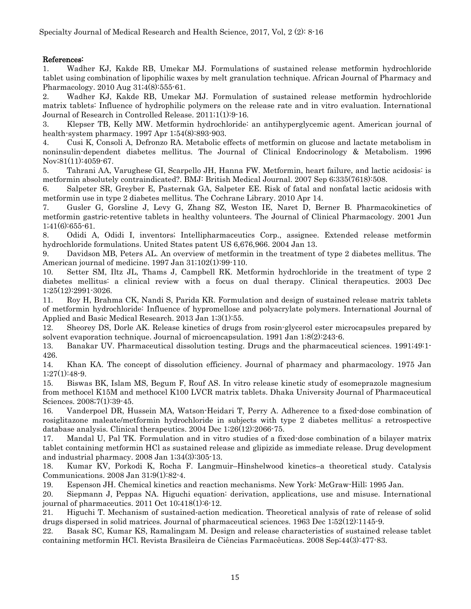### References:

1. Wadher KJ, Kakde RB, Umekar MJ. Formulations of sustained release metformin hydrochloride tablet using combination of lipophilic waxes by melt granulation technique. African Journal of Pharmacy and Pharmacology. 2010 Aug 31;4(8):555-61.

2. Wadher KJ, Kakde RB, Umekar MJ. Formulation of sustained release metformin hydrochloride matrix tablets: Influence of hydrophilic polymers on the release rate and in vitro evaluation. International Journal of Research in Controlled Release. 2011;1(1):9-16.

3. Klepser TB, Kelly MW. Metformin hydrochloride: an antihyperglycemic agent. American journal of health-system pharmacy. 1997 Apr 1;54(8):893-903.

4. Cusi K, Consoli A, Defronzo RA. Metabolic effects of metformin on glucose and lactate metabolism in noninsulin-dependent diabetes mellitus. The Journal of Clinical Endocrinology & Metabolism. 1996 Nov;81(11):4059-67.

5. Tahrani AA, Varughese GI, Scarpello JH, Hanna FW. Metformin, heart failure, and lactic acidosis: is metformin absolutely contraindicated?. BMJ: British Medical Journal. 2007 Sep 6;335(7618):508.

6. Salpeter SR, Greyber E, Pasternak GA, Salpeter EE. Risk of fatal and nonfatal lactic acidosis with metformin use in type 2 diabetes mellitus. The Cochrane Library. 2010 Apr 14.

7. Gusler G, Gorsline J, Levy G, Zhang SZ, Weston IE, Naret D, Berner B. Pharmacokinetics of metformin gastric‐retentive tablets in healthy volunteers. The Journal of Clinical Pharmacology. 2001 Jun 1;41(6):655-61.

8. Odidi A, Odidi I, inventors; Intellipharmaceutics Corp., assignee. Extended release metformin hydrochloride formulations. United States patent US 6,676,966. 2004 Jan 13.

9. Davidson MB, Peters AL. An overview of metformin in the treatment of type 2 diabetes mellitus. The American journal of medicine. 1997 Jan 31;102(1):99-110.

10. Setter SM, Iltz JL, Thams J, Campbell RK. Metformin hydrochloride in the treatment of type 2 diabetes mellitus: a clinical review with a focus on dual therapy. Clinical therapeutics. 2003 Dec 1;25(12):2991-3026.

11. Roy H, Brahma CK, Nandi S, Parida KR. Formulation and design of sustained release matrix tablets of metformin hydrochloride: Influence of hypromellose and polyacrylate polymers. International Journal of Applied and Basic Medical Research. 2013 Jan 1;3(1):55.

12. Sheorey DS, Dorle AK. Release kinetics of drugs from rosin-glycerol ester microcapsules prepared by solvent evaporation technique. Journal of microencapsulation. 1991 Jan 1;8(2):243-6.

13. Banakar UV. Pharmaceutical dissolution testing. Drugs and the pharmaceutical sciences. 1991;49:1- 426.

14. Khan KA. The concept of dissolution efficiency. Journal of pharmacy and pharmacology. 1975 Jan 1;27(1):48-9.

15. Biswas BK, Islam MS, Begum F, Rouf AS. In vitro release kinetic study of esomeprazole magnesium from methocel K15M and methocel K100 LVCR matrix tablets. Dhaka University Journal of Pharmaceutical Sciences. 2008;7(1):39-45.

16. Vanderpoel DR, Hussein MA, Watson-Heidari T, Perry A. Adherence to a fixed-dose combination of rosiglitazone maleate/metformin hydrochloride in subjects with type 2 diabetes mellitus: a retrospective database analysis. Clinical therapeutics. 2004 Dec 1;26(12):2066-75.

17. Mandal U, Pal TK. Formulation and in vitro studies of a fixed-dose combination of a bilayer matrix tablet containing metformin HCl as sustained release and glipizide as immediate release. Drug development and industrial pharmacy. 2008 Jan 1;34(3):305-13.

18. Kumar KV, Porkodi K, Rocha F. Langmuir–Hinshelwood kinetics–a theoretical study. Catalysis Communications. 2008 Jan 31;9(1):82-4.

19. Espenson JH. Chemical kinetics and reaction mechanisms. New York: McGraw-Hill; 1995 Jan.

20. Siepmann J, Peppas NA. Higuchi equation: derivation, applications, use and misuse. International journal of pharmaceutics. 2011 Oct 10;418(1):6-12.

21. Higuchi T. Mechanism of sustained‐action medication. Theoretical analysis of rate of release of solid drugs dispersed in solid matrices. Journal of pharmaceutical sciences. 1963 Dec 1;52(12):1145-9.

22. Basak SC, Kumar KS, Ramalingam M. Design and release characteristics of sustained release tablet containing metformin HCl. Revista Brasileira de Ciências Farmacêuticas. 2008 Sep;44(3):477-83.